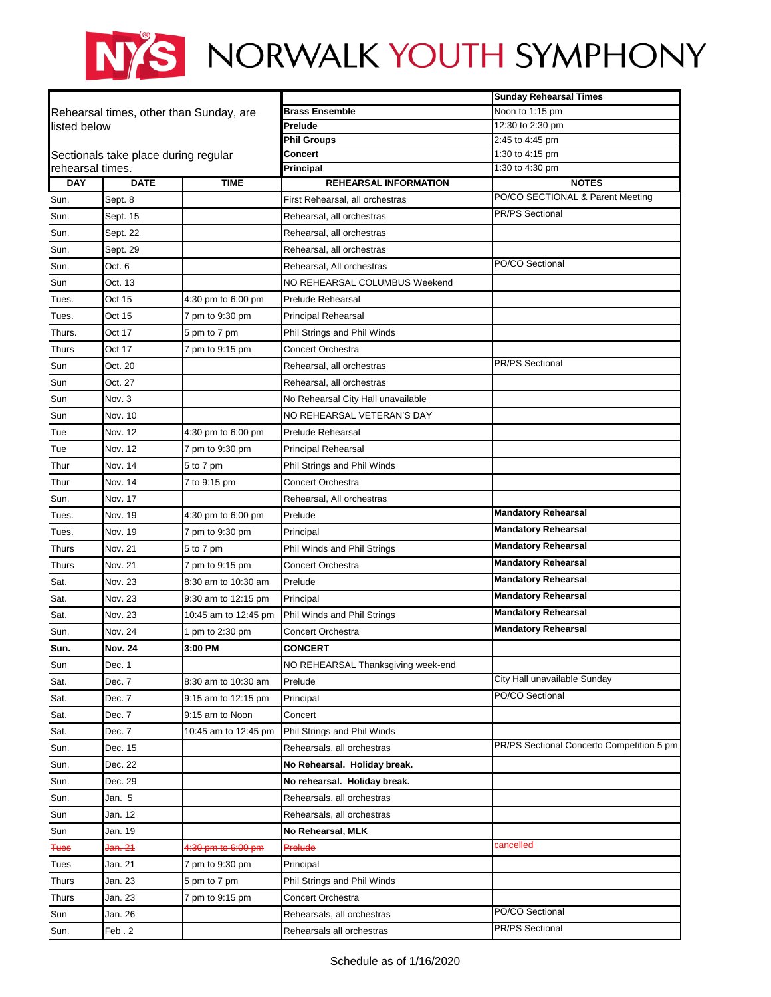## NYS NORWALK YOUTH SYMPHONY

|                  |                                      |                                         |                                    | <b>Sunday Rehearsal Times</b>             |
|------------------|--------------------------------------|-----------------------------------------|------------------------------------|-------------------------------------------|
|                  |                                      | Rehearsal times, other than Sunday, are | <b>Brass Ensemble</b>              | Noon to 1:15 pm                           |
| llisted below    |                                      |                                         | Prelude                            | 12:30 to 2:30 pm                          |
|                  |                                      |                                         | <b>Phil Groups</b>                 | 2:45 to 4:45 pm                           |
|                  | Sectionals take place during regular |                                         | Concert                            | 1:30 to 4:15 pm                           |
| rehearsal times. |                                      |                                         | Principal                          | 1:30 to 4:30 pm                           |
| <b>DAY</b>       | <b>DATE</b>                          | <b>TIME</b>                             | <b>REHEARSAL INFORMATION</b>       | <b>NOTES</b>                              |
| Sun.             | Sept. 8                              |                                         | First Rehearsal, all orchestras    | PO/CO SECTIONAL & Parent Meeting          |
| Sun.             | Sept. 15                             |                                         | Rehearsal, all orchestras          | <b>PR/PS Sectional</b>                    |
| Sun.             | Sept. 22                             |                                         | Rehearsal, all orchestras          |                                           |
| Sun.             | Sept. 29                             |                                         | Rehearsal, all orchestras          |                                           |
| Sun.             | Oct. 6                               |                                         | Rehearsal, All orchestras          | PO/CO Sectional                           |
| Sun              | Oct. 13                              |                                         | NO REHEARSAL COLUMBUS Weekend      |                                           |
| Tues.            | Oct 15                               | 4:30 pm to 6:00 pm                      | <b>Prelude Rehearsal</b>           |                                           |
| Tues.            | Oct 15                               | 7 pm to 9:30 pm                         | <b>Principal Rehearsal</b>         |                                           |
| Thurs.           | Oct 17                               | 5 pm to 7 pm                            | Phil Strings and Phil Winds        |                                           |
| <b>Thurs</b>     | Oct 17                               | 7 pm to 9:15 pm                         | Concert Orchestra                  |                                           |
| Sun              | Oct. 20                              |                                         | Rehearsal, all orchestras          | <b>PR/PS Sectional</b>                    |
| Sun              | Oct. 27                              |                                         | Rehearsal, all orchestras          |                                           |
| Sun              | Nov. 3                               |                                         | No Rehearsal City Hall unavailable |                                           |
| Sun              | Nov. 10                              |                                         | NO REHEARSAL VETERAN'S DAY         |                                           |
| Tue              | Nov. 12                              | 4:30 pm to 6:00 pm                      | <b>Prelude Rehearsal</b>           |                                           |
| Tue              | Nov. 12                              | 7 pm to 9:30 pm                         | <b>Principal Rehearsal</b>         |                                           |
| Thur             | Nov. 14                              | 5 to 7 pm                               | Phil Strings and Phil Winds        |                                           |
| Thur             | Nov. 14                              | 7 to 9:15 pm                            | <b>Concert Orchestra</b>           |                                           |
| Sun.             | Nov. 17                              |                                         | Rehearsal, All orchestras          |                                           |
| Tues.            | Nov. 19                              | 4:30 pm to 6:00 pm                      | Prelude                            | <b>Mandatory Rehearsal</b>                |
| Tues.            | Nov. 19                              | 7 pm to 9:30 pm                         | Principal                          | <b>Mandatory Rehearsal</b>                |
| <b>Thurs</b>     | Nov. 21                              | 5 to 7 pm                               | Phil Winds and Phil Strings        | <b>Mandatory Rehearsal</b>                |
| <b>Thurs</b>     | Nov. 21                              | 7 pm to 9:15 pm                         | <b>Concert Orchestra</b>           | <b>Mandatory Rehearsal</b>                |
| Sat.             | Nov. 23                              | 8:30 am to 10:30 am                     | Prelude                            | <b>Mandatory Rehearsal</b>                |
| Sat.             | Nov. 23                              | 9:30 am to 12:15 pm                     | Principal                          | <b>Mandatory Rehearsal</b>                |
| Sat.             | Nov. 23                              | 10:45 am to 12:45 pm                    | Phil Winds and Phil Strings        | <b>Mandatory Rehearsal</b>                |
| Sun.             | Nov. 24                              | 1 pm to 2:30 pm                         | Concert Orchestra                  | <b>Mandatory Rehearsal</b>                |
|                  | <b>Nov. 24</b>                       | 3:00 PM                                 |                                    |                                           |
| Sun.             |                                      |                                         | <b>CONCERT</b>                     |                                           |
| Sun              | Dec. 1                               |                                         | NO REHEARSAL Thanksgiving week-end | City Hall unavailable Sunday              |
| Sat.             | Dec. 7                               | 8:30 am to 10:30 am                     | Prelude                            | PO/CO Sectional                           |
| Sat.             | Dec. 7                               | 9:15 am to 12:15 pm                     | Principal                          |                                           |
| Sat.             | Dec. 7                               | 9:15 am to Noon                         | Concert                            |                                           |
| Sat.             | Dec. 7                               | 10:45 am to 12:45 pm                    | Phil Strings and Phil Winds        |                                           |
| Sun.             | Dec. 15                              |                                         | Rehearsals, all orchestras         | PR/PS Sectional Concerto Competition 5 pm |
| Sun.             | Dec. 22                              |                                         | No Rehearsal. Holiday break.       |                                           |
| Sun.             | Dec. 29                              |                                         | No rehearsal. Holiday break.       |                                           |
| Sun.             | Jan. 5                               |                                         | Rehearsals, all orchestras         |                                           |
| Sun              | Jan. 12                              |                                         | Rehearsals, all orchestras         |                                           |
| Sun              | Jan. 19                              |                                         | No Rehearsal, MLK                  |                                           |
| <del>Tues</del>  | Jan. 21                              | 4:30 pm to 6:00 pm                      | Prelude                            | cancelled                                 |
| Tues             | Jan. 21                              | 7 pm to 9:30 pm                         | Principal                          |                                           |
| <b>Thurs</b>     | Jan. 23                              | 5 pm to 7 pm                            | Phil Strings and Phil Winds        |                                           |
| <b>Thurs</b>     | Jan. 23                              | 7 pm to 9:15 pm                         | Concert Orchestra                  |                                           |
| Sun              | Jan. 26                              |                                         | Rehearsals, all orchestras         | PO/CO Sectional                           |
| Sun.             | Feb.2                                |                                         | Rehearsals all orchestras          | <b>PR/PS Sectional</b>                    |